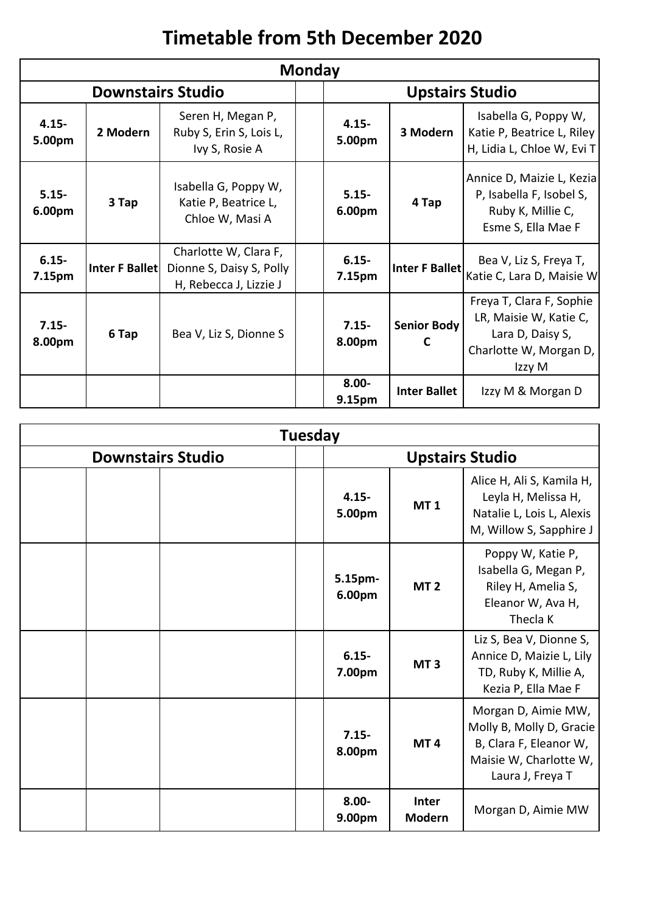## **Timetable from 5th December 2020**

| <b>Monday</b>            |                |                                                                             |  |                        |                     |                                                                                                            |  |
|--------------------------|----------------|-----------------------------------------------------------------------------|--|------------------------|---------------------|------------------------------------------------------------------------------------------------------------|--|
| <b>Downstairs Studio</b> |                |                                                                             |  | <b>Upstairs Studio</b> |                     |                                                                                                            |  |
| $4.15 -$<br>5.00pm       | 2 Modern       | Seren H, Megan P,<br>Ruby S, Erin S, Lois L,<br>Ivy S, Rosie A              |  | $4.15 -$<br>5.00pm     | 3 Modern            | Isabella G, Poppy W,<br>Katie P, Beatrice L, Riley<br>H, Lidia L, Chloe W, Evi T                           |  |
| $5.15 -$<br>6.00pm       | 3 Tap          | Isabella G, Poppy W,<br>Katie P, Beatrice L,<br>Chloe W, Masi A             |  | $5.15 -$<br>6.00pm     | 4 Tap               | Annice D, Maizie L, Kezia<br>P, Isabella F, Isobel S,<br>Ruby K, Millie C,<br>Esme S, Ella Mae F           |  |
| $6.15 -$<br>7.15pm       | Inter F Ballet | Charlotte W, Clara F,<br>Dionne S, Daisy S, Polly<br>H, Rebecca J, Lizzie J |  | $6.15 -$<br>7.15pm     | Inter F Ballet      | Bea V, Liz S, Freya T,<br>Katie C, Lara D, Maisie W                                                        |  |
| $7.15 -$<br>8.00pm       | 6 Tap          | Bea V, Liz S, Dionne S                                                      |  | $7.15 -$<br>8.00pm     | Senior Body<br>C    | Freya T, Clara F, Sophie<br>LR, Maisie W, Katie C,<br>Lara D, Daisy S,<br>Charlotte W, Morgan D,<br>Izzy M |  |
|                          |                |                                                                             |  | $8.00 -$<br>9.15pm     | <b>Inter Ballet</b> | Izzy M & Morgan D                                                                                          |  |

| <b>Tuesday</b>           |                        |                               |                                                                                                                         |  |  |
|--------------------------|------------------------|-------------------------------|-------------------------------------------------------------------------------------------------------------------------|--|--|
| <b>Downstairs Studio</b> | <b>Upstairs Studio</b> |                               |                                                                                                                         |  |  |
|                          | $4.15 -$<br>5.00pm     | <b>MT1</b>                    | Alice H, Ali S, Kamila H,<br>Leyla H, Melissa H,<br>Natalie L, Lois L, Alexis<br>M, Willow S, Sapphire J                |  |  |
|                          | 5.15pm-<br>6.00pm      | MT <sub>2</sub>               | Poppy W, Katie P,<br>Isabella G, Megan P,<br>Riley H, Amelia S,<br>Eleanor W, Ava H,<br>Thecla <sub>K</sub>             |  |  |
|                          | $6.15 -$<br>7.00pm     | MT <sub>3</sub>               | Liz S, Bea V, Dionne S,<br>Annice D, Maizie L, Lily<br>TD, Ruby K, Millie A,<br>Kezia P, Ella Mae F                     |  |  |
|                          | $7.15 -$<br>8.00pm     | MT <sub>4</sub>               | Morgan D, Aimie MW,<br>Molly B, Molly D, Gracie<br>B, Clara F, Eleanor W,<br>Maisie W, Charlotte W,<br>Laura J, Freya T |  |  |
|                          | $8.00 -$<br>9.00pm     | <b>Inter</b><br><b>Modern</b> | Morgan D, Aimie MW                                                                                                      |  |  |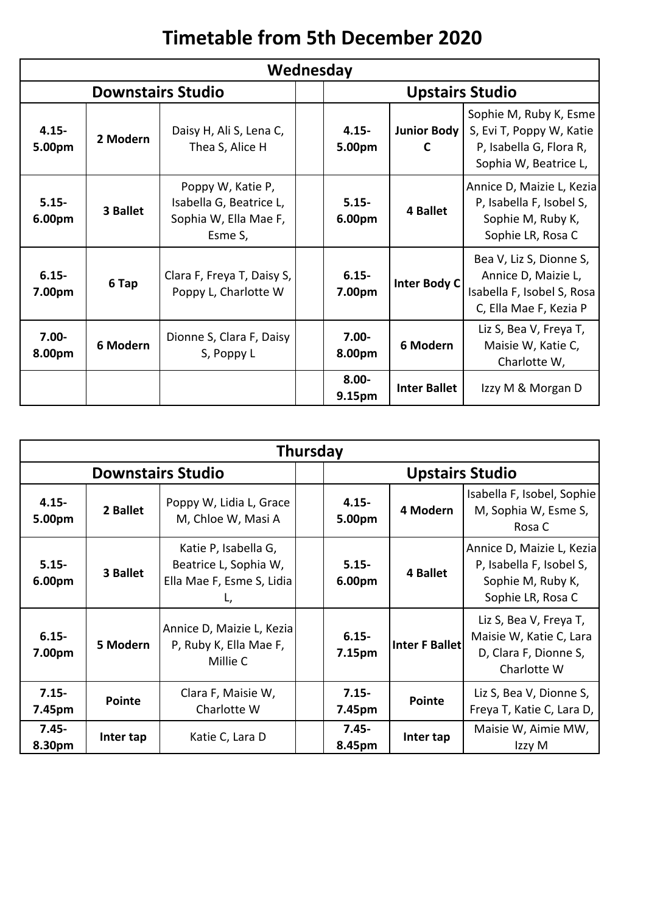## **Timetable from 5th December 2020**

| Wednesday                |          |                                                                                  |                        |                    |                         |                                                                                                        |
|--------------------------|----------|----------------------------------------------------------------------------------|------------------------|--------------------|-------------------------|--------------------------------------------------------------------------------------------------------|
| <b>Downstairs Studio</b> |          |                                                                                  | <b>Upstairs Studio</b> |                    |                         |                                                                                                        |
| $4.15 -$<br>5.00pm       | 2 Modern | Daisy H, Ali S, Lena C,<br>Thea S, Alice H                                       |                        | $4.15 -$<br>5.00pm | <b>Junior Body</b><br>C | Sophie M, Ruby K, Esme<br>S, Evi T, Poppy W, Katie<br>P, Isabella G, Flora R,<br>Sophia W, Beatrice L, |
| $5.15 -$<br>6.00pm       | 3 Ballet | Poppy W, Katie P,<br>Isabella G, Beatrice L,<br>Sophia W, Ella Mae F,<br>Esme S, |                        | $5.15 -$<br>6.00pm | 4 Ballet                | Annice D, Maizie L, Kezia<br>P, Isabella F, Isobel S,<br>Sophie M, Ruby K,<br>Sophie LR, Rosa C        |
| $6.15 -$<br>7.00pm       | 6 Tap    | Clara F, Freya T, Daisy S,<br>Poppy L, Charlotte W                               |                        | $6.15 -$<br>7.00pm | <b>Inter Body C</b>     | Bea V, Liz S, Dionne S,<br>Annice D, Maizie L,<br>Isabella F, Isobel S, Rosa<br>C, Ella Mae F, Kezia P |
| $7.00 -$<br>8.00pm       | 6 Modern | Dionne S, Clara F, Daisy<br>S, Poppy L                                           |                        | $7.00 -$<br>8.00pm | 6 Modern                | Liz S, Bea V, Freya T,<br>Maisie W, Katie C,<br>Charlotte W,                                           |
|                          |          |                                                                                  |                        | $8.00 -$<br>9.15pm | <b>Inter Ballet</b>     | Izzy M & Morgan D                                                                                      |

| <b>Thursday</b>          |               |                                                                                  |  |                                |                |                                                                                                 |
|--------------------------|---------------|----------------------------------------------------------------------------------|--|--------------------------------|----------------|-------------------------------------------------------------------------------------------------|
| <b>Downstairs Studio</b> |               |                                                                                  |  | <b>Upstairs Studio</b>         |                |                                                                                                 |
| $4.15 -$<br>5.00pm       | 2 Ballet      | Poppy W, Lidia L, Grace<br>M, Chloe W, Masi A                                    |  | $4.15 -$<br>5.00pm             | 4 Modern       | Isabella F, Isobel, Sophie<br>M, Sophia W, Esme S,<br>Rosa C                                    |
| $5.15 -$<br>6.00pm       | 3 Ballet      | Katie P, Isabella G,<br>Beatrice L, Sophia W,<br>Ella Mae F, Esme S, Lidia<br>L, |  | $5.15 -$<br>6.00pm             | 4 Ballet       | Annice D, Maizie L, Kezia<br>P, Isabella F, Isobel S,<br>Sophie M, Ruby K,<br>Sophie LR, Rosa C |
| $6.15 -$<br>7.00pm       | 5 Modern      | Annice D, Maizie L, Kezia<br>P, Ruby K, Ella Mae F,<br>Millie C                  |  | $6.15 -$<br>7.15 <sub>pm</sub> | Inter F Ballet | Liz S, Bea V, Freya T,<br>Maisie W, Katie C, Lara<br>D, Clara F, Dionne S,<br>Charlotte W       |
| $7.15 -$<br>7.45pm       | <b>Pointe</b> | Clara F, Maisie W,<br>Charlotte W                                                |  | $7.15 -$<br>7.45pm             | <b>Pointe</b>  | Liz S, Bea V, Dionne S,<br>Freya T, Katie C, Lara D,                                            |
| $7.45 -$<br>8.30pm       | Inter tap     | Katie C, Lara D                                                                  |  | $7.45 -$<br>8.45pm             | Inter tap      | Maisie W, Aimie MW,<br>Izzy M                                                                   |